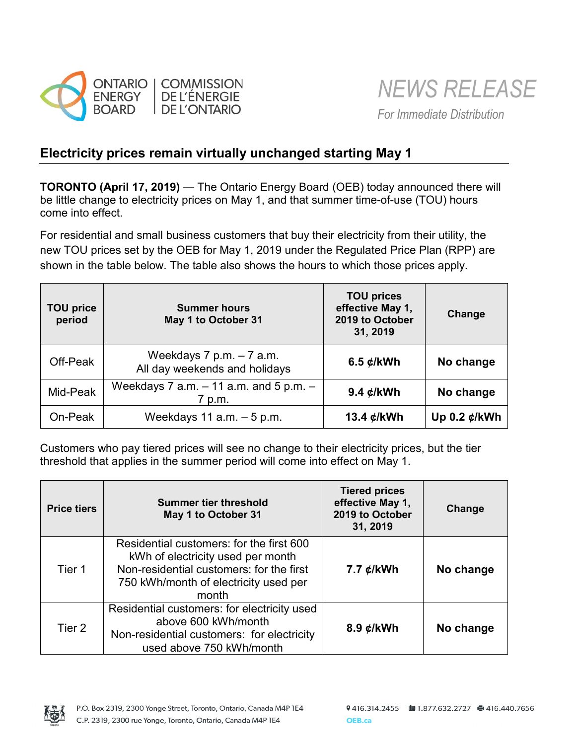

## **Electricity prices remain virtually unchanged starting May 1**

**TORONTO (April 17, 2019)** — The Ontario Energy Board (OEB) today announced there will be little change to electricity prices on May 1, and that summer time-of-use (TOU) hours come into effect.

For residential and small business customers that buy their electricity from their utility, the new TOU prices set by the OEB for May 1, 2019 under the Regulated Price Plan (RPP) are shown in the table below. The table also shows the hours to which those prices apply.

| <b>TOU price</b><br>period | <b>Summer hours</b><br>May 1 to October 31                   | <b>TOU prices</b><br>effective May 1,<br>2019 to October<br>31, 2019 | Change                   |
|----------------------------|--------------------------------------------------------------|----------------------------------------------------------------------|--------------------------|
| Off-Peak                   | Weekdays $7$ p.m. $-7$ a.m.<br>All day weekends and holidays | 6.5 $¢$ /kWh                                                         | No change                |
| Mid-Peak                   | Weekdays 7 a.m. $-11$ a.m. and 5 p.m. $-$<br>7 p.m.          | 9.4 ¢/kWh                                                            | No change                |
| On-Peak                    | Weekdays 11 $a.m. - 5 p.m.$                                  | 13.4 $\mathcal{L}/kWh$                                               | Up 0.2 $\mathcal{L}/kWh$ |

Customers who pay tiered prices will see no change to their electricity prices, but the tier threshold that applies in the summer period will come into effect on May 1.

| <b>Price tiers</b> | <b>Summer tier threshold</b><br>May 1 to October 31                                                                                                                         | <b>Tiered prices</b><br>effective May 1,<br>2019 to October<br>31, 2019 | <b>Change</b> |
|--------------------|-----------------------------------------------------------------------------------------------------------------------------------------------------------------------------|-------------------------------------------------------------------------|---------------|
| Tier 1             | Residential customers: for the first 600<br>kWh of electricity used per month<br>Non-residential customers: for the first<br>750 kWh/month of electricity used per<br>month | 7.7 ¢/kWh                                                               | No change     |
| Tier 2             | Residential customers: for electricity used<br>above 600 kWh/month<br>Non-residential customers: for electricity<br>used above 750 kWh/month                                | 8.9 ¢/kWh                                                               | No change     |